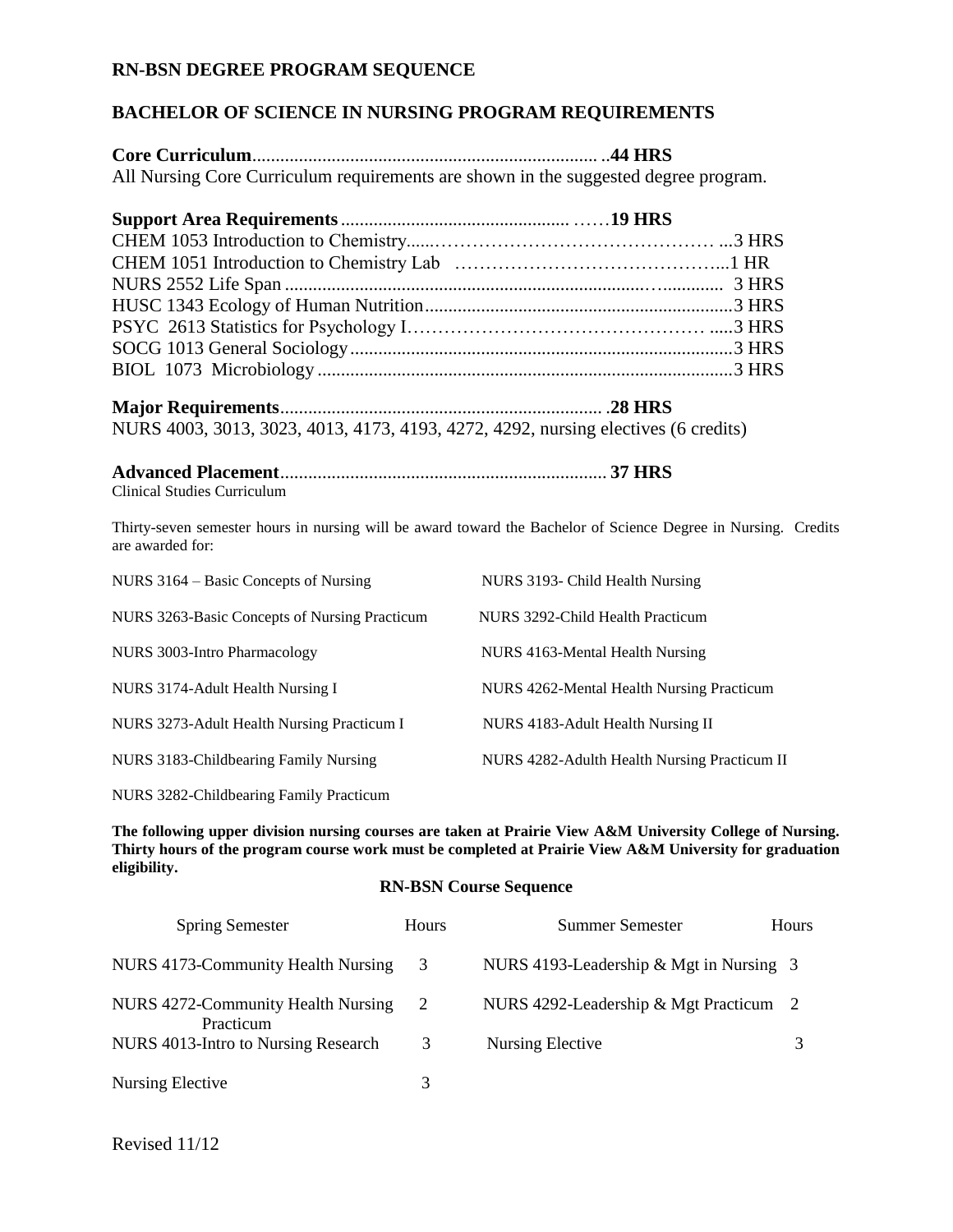## **RN-BSN DEGREE PROGRAM SEQUENCE**

## **BACHELOR OF SCIENCE IN NURSING PROGRAM REQUIREMENTS**

**Core Curriculum**.......................................................................... ..**44 HRS** All Nursing Core Curriculum requirements are shown in the suggested degree program.

**Major Requirements**..................................................................... .**28 HRS** NURS 4003, 3013, 3023, 4013, 4173, 4193, 4272, 4292, nursing electives (6 credits)

## **Advanced Placement**...................................................................... **37 HRS** Clinical Studies Curriculum

Thirty-seven semester hours in nursing will be award toward the Bachelor of Science Degree in Nursing. Credits are awarded for:

| NURS 3164 – Basic Concepts of Nursing         | NURS 3193- Child Health Nursing              |
|-----------------------------------------------|----------------------------------------------|
| NURS 3263-Basic Concepts of Nursing Practicum | NURS 3292-Child Health Practicum             |
| NURS 3003-Intro Pharmacology                  | NURS 4163-Mental Health Nursing              |
| NURS 3174-Adult Health Nursing I              | NURS 4262-Mental Health Nursing Practicum    |
| NURS 3273-Adult Health Nursing Practicum I    | NURS 4183-Adult Health Nursing II            |
| NURS 3183-Childbearing Family Nursing         | NURS 4282-Adulth Health Nursing Practicum II |
|                                               |                                              |

NURS 3282-Childbearing Family Practicum

**The following upper division nursing courses are taken at Prairie View A&M University College of Nursing. Thirty hours of the program course work must be completed at Prairie View A&M University for graduation eligibility.**

## **RN-BSN Course Sequence**

| <b>Spring Semester</b>                          | <b>Hours</b> | <b>Summer Semester</b>                  | Hours |
|-------------------------------------------------|--------------|-----------------------------------------|-------|
| NURS 4173-Community Health Nursing              | 3            | NURS 4193-Leadership & Mgt in Nursing 3 |       |
| NURS 4272-Community Health Nursing<br>Practicum | 2            | NURS 4292-Leadership & Mgt Practicum 2  |       |
| NURS 4013-Intro to Nursing Research             | 3            | Nursing Elective                        |       |
| Nursing Elective                                |              |                                         |       |